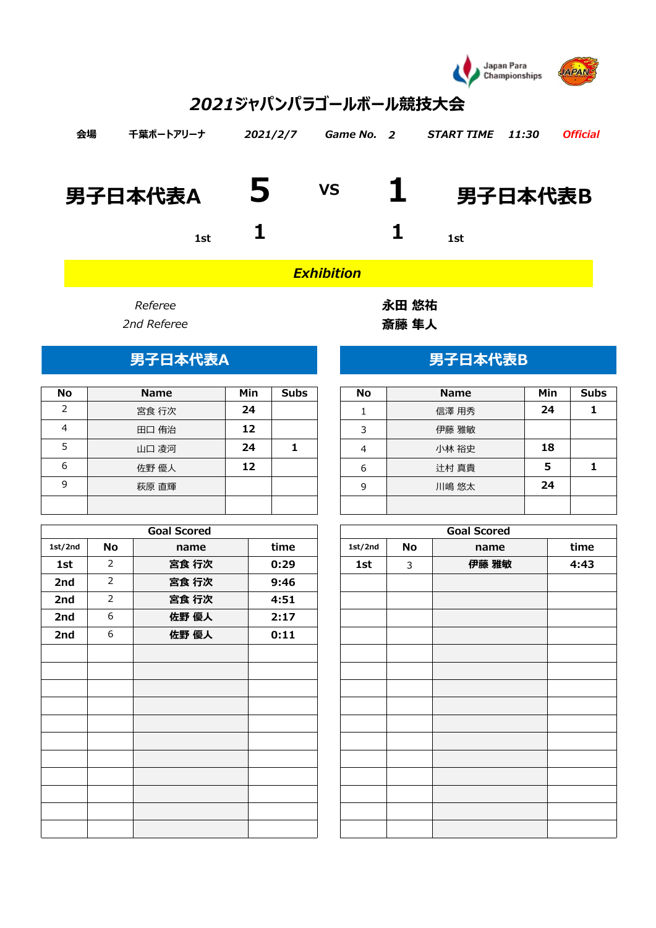

# *2021ジャパンパラゴールボール競技大会*

| 会場 | 千葉ポートアリーナ       | 2021/2/7 | Game No. 2 | <i>START TIME</i> | 11:30 | <b>Official</b> |
|----|-----------------|----------|------------|-------------------|-------|-----------------|
|    | 男子日本代表A $\bf 5$ |          |            | vs 1 男子日本代表B      |       |                 |
|    | 1st             |          |            | 1st               |       |                 |

*Exhibition*

| No | <b>Name</b> | Min | <b>Subs</b> | No | <b>Name</b> | Min | Sul |
|----|-------------|-----|-------------|----|-------------|-----|-----|
| っ  | 宮食 行次       | 24  |             |    | 信澤 用秀       | 24  |     |
| 4  | 田口 侑治       | 12  |             | 3  | 伊藤 雅敏       |     |     |
|    | 山口 凌河       | 24  |             | 4  | 小林 裕史       | 18  |     |
| 6  | 佐野 優人       | 12  |             | 6  | 辻村 真貴       | 5   |     |
| q  | 萩原 直輝       |     |             | 9  | 川嶋 悠太       | 24  |     |
|    |             |     |             |    |             |     |     |

|         |                | <b>Goal Scored</b> |      |         |    | <b>Goal Scored</b> |      |
|---------|----------------|--------------------|------|---------|----|--------------------|------|
| 1st/2nd | No             | name               | time | 1st/2nd | No | name               | time |
| 1st     | $\overline{2}$ | 宮食 行次              | 0:29 | 1st     | 3  | 伊藤 雅敏              | 4:43 |
| 2nd     | $\overline{2}$ | 宮食 行次              | 9:46 |         |    |                    |      |
| 2nd     | $\overline{2}$ | 宮食 行次              | 4:51 |         |    |                    |      |
| 2nd     | 6              | 佐野 優人              | 2:17 |         |    |                    |      |
| 2nd     | 6              | 佐野 優人              | 0:11 |         |    |                    |      |
|         |                |                    |      |         |    |                    |      |
|         |                |                    |      |         |    |                    |      |
|         |                |                    |      |         |    |                    |      |
|         |                |                    |      |         |    |                    |      |
|         |                |                    |      |         |    |                    |      |
|         |                |                    |      |         |    |                    |      |
|         |                |                    |      |         |    |                    |      |
|         |                |                    |      |         |    |                    |      |
|         |                |                    |      |         |    |                    |      |
|         |                |                    |      |         |    |                    |      |
|         |                |                    |      |         |    |                    |      |

*Referee* **永田 悠祐** *2nd Referee* **斎藤 隼人**

## 男子日本代表A **DECISION AREA** 男子日本代表B

| <b>No</b> | <b>Name</b> | Min | <b>Subs</b> |
|-----------|-------------|-----|-------------|
|           | 信澤 用秀       | 24  |             |
| 3         | 伊藤 雅敏       |     |             |
|           | 小林 裕史       | 18  |             |
| 6         | 辻村 真貴       | 5   |             |
| 9         | 川嶋 悠太       | 24  |             |
|           |             |     |             |

| <b>Goal Scored</b> |      |         |    | <b>Goal Scored</b> |      |
|--------------------|------|---------|----|--------------------|------|
| name               | time | 1st/2nd | No | name               | time |
| 宮食 行次              | 0:29 | 1st     | 3  | 伊藤 雅敏              | 4:43 |
| 宮食 行次              | 9:46 |         |    |                    |      |
| 宮食 行次              | 4:51 |         |    |                    |      |
| 佐野 優人              | 2:17 |         |    |                    |      |
| 佐野 優人              | 0:11 |         |    |                    |      |
|                    |      |         |    |                    |      |
|                    |      |         |    |                    |      |
|                    |      |         |    |                    |      |
|                    |      |         |    |                    |      |
|                    |      |         |    |                    |      |
|                    |      |         |    |                    |      |
|                    |      |         |    |                    |      |
|                    |      |         |    |                    |      |
|                    |      |         |    |                    |      |
|                    |      |         |    |                    |      |
|                    |      |         |    |                    |      |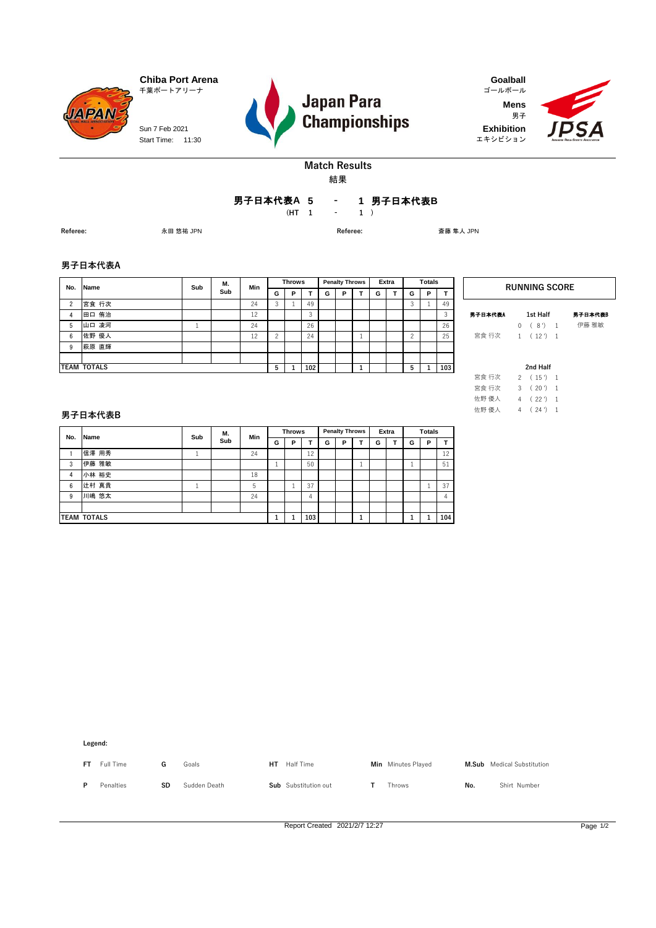Start Time: 11:30 Sun 7 Feb 2021



**Mens** 男子 エキシビション **Exhibition**



## **Match Results** 結果

**5 1** 男子日本代表**B -** 男子日本代表**A**

**(HT 1 1 ) -**

**Referee:** 永田 悠祐 JPN **Referee:** 斎藤 隼人 JPN

### **男子日本代表A**

**JAPAN** 

| No.            | <b>Name</b>        | Sub | М.  | Min |   | <b>Throws</b> |                  |   | <b>Penalty Throws</b> |   | Extra |   | <b>Totals</b> |     |         | <b>RUNNING SC</b>               |
|----------------|--------------------|-----|-----|-----|---|---------------|------------------|---|-----------------------|---|-------|---|---------------|-----|---------|---------------------------------|
|                |                    |     | Sub |     | G | Р             |                  | G | P                     | G |       | G | P             |     |         |                                 |
| $\overline{2}$ | 宮食 行次              |     |     | 24  | 3 |               | 49               |   |                       |   |       |   |               | 49  |         |                                 |
| 4              | 田口 侑治              |     |     | 12  |   |               |                  |   |                       |   |       |   |               | 3   | 男子日本代表A | 1st Half                        |
| 5              | 山口 凌河              |     |     | 24  |   |               | 26               |   |                       |   |       |   |               | 26  |         | 8')<br>$\overline{\phantom{0}}$ |
| 6              | 佐野 優人              |     |     | 12  |   |               | 24               |   |                       |   |       |   |               | 25  | 宮食 行次   | $(12')$ 1                       |
| 9              | 萩原 直輝              |     |     |     |   |               |                  |   |                       |   |       |   |               |     |         |                                 |
|                |                    |     |     |     |   |               |                  |   |                       |   |       |   |               |     |         |                                 |
|                | <b>TEAM TOTALS</b> |     |     |     | 5 |               | 102 <sub>1</sub> |   |                       |   |       |   |               | 103 |         | 2nd Half                        |

伊藤 雅敏 **1st Half** 男子日本代表B 男子日本代表A

 $RUNNING SCORE$ 

|       |               | 2nd Half |                |
|-------|---------------|----------|----------------|
| 宮食 行次 | $\mathcal{P}$ | (15')    | 1              |
| 宮食 行次 | $\mathbf{3}$  | (20')    | 1              |
| 佐野 優人 | 4             | (22')    | 1              |
| 佐野 優人 | 4             | (24')    | $\overline{1}$ |

### **男子日本代表B**

| No. | Name               | М.<br>Sub |     | Min |   | <b>Throws</b> |     |   | <b>Penalty Throws</b> |   | Extra | <b>Totals</b> |   |     |
|-----|--------------------|-----------|-----|-----|---|---------------|-----|---|-----------------------|---|-------|---------------|---|-----|
|     |                    |           | Sub |     | G | P             |     | G | Р                     | G |       | G             | P |     |
|     | 信澤 用秀              |           |     | 24  |   |               | 12  |   |                       |   |       |               |   | 12  |
| 3   | 伊藤 雅敏              |           |     |     |   |               | 50  |   |                       |   |       |               |   | 51  |
| 4   | 小林 裕史              |           |     | 18  |   |               |     |   |                       |   |       |               |   |     |
| 6   | 辻村 真貴              |           |     | 5   |   | ı             | 37  |   |                       |   |       |               |   | 37  |
| 9   | 川嶋 悠太              |           |     | 24  |   |               | 4   |   |                       |   |       |               |   | 4   |
|     |                    |           |     |     |   |               |     |   |                       |   |       |               |   |     |
|     | <b>TEAM TOTALS</b> |           |     |     |   |               | 103 |   |                       |   |       |               |   | 104 |

**Legend:**

**FT** Full Time **G** Goals **HT** Half Time **Min** Minutes Played **M.Sub** Medical Substitution **P** Penalties **SD** Sudden Death **Sub** Substitution out **T** Throws **No.** Shirt Number

Report Created 2021/2/7 12:27